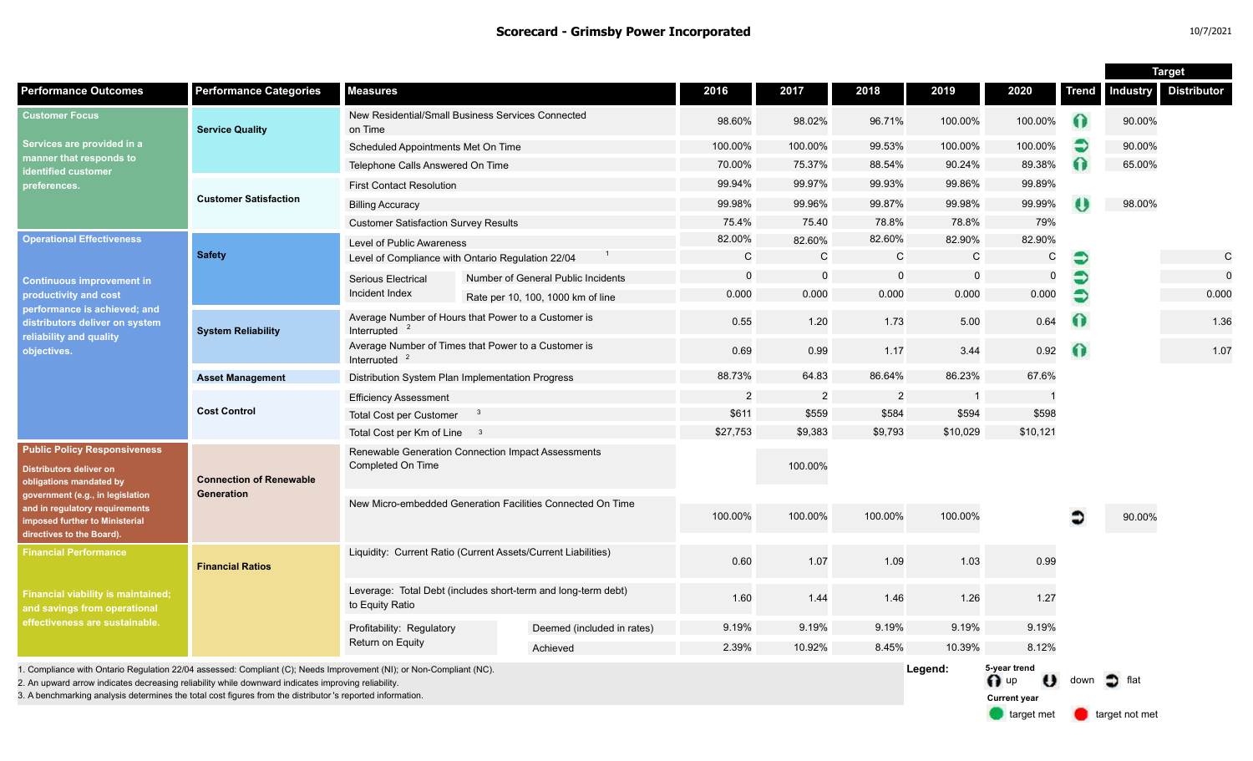|                                                                                                                                                                                                                                                                                                                                        |                                              |                                                                                  |                                    |                |                |             |              |                                                                                | <b>Target</b> |                       |                      |
|----------------------------------------------------------------------------------------------------------------------------------------------------------------------------------------------------------------------------------------------------------------------------------------------------------------------------------------|----------------------------------------------|----------------------------------------------------------------------------------|------------------------------------|----------------|----------------|-------------|--------------|--------------------------------------------------------------------------------|---------------|-----------------------|----------------------|
| <b>Performance Outcomes</b>                                                                                                                                                                                                                                                                                                            | <b>Performance Categories</b>                | <b>Measures</b>                                                                  |                                    | 2016           | 2017           | 2018        | 2019         | 2020                                                                           | <b>Trend</b>  |                       | Industry Distributor |
| <b>Customer Focus</b><br>Services are provided in a<br>manner that responds to<br>identified customer<br>preferences.                                                                                                                                                                                                                  | <b>Service Quality</b>                       | New Residential/Small Business Services Connected<br>on Time                     |                                    | 98.60%         | 98.02%         | 96.71%      | 100.00%      | 100.00%                                                                        |               | 90.00%                |                      |
|                                                                                                                                                                                                                                                                                                                                        |                                              | Scheduled Appointments Met On Time                                               | 100.00%                            | 100.00%        | 99.53%         | 100.00%     | 100.00%      | €                                                                              | 90.00%        |                       |                      |
|                                                                                                                                                                                                                                                                                                                                        |                                              | Telephone Calls Answered On Time                                                 | 70.00%                             | 75.37%         | 88.54%         | 90.24%      | 89.38%       | Ω                                                                              | 65.00%        |                       |                      |
|                                                                                                                                                                                                                                                                                                                                        | <b>Customer Satisfaction</b>                 | <b>First Contact Resolution</b>                                                  |                                    | 99.94%         | 99.97%         | 99.93%      | 99.86%       | 99.89%                                                                         |               |                       |                      |
|                                                                                                                                                                                                                                                                                                                                        |                                              | <b>Billing Accuracy</b>                                                          |                                    | 99.98%         | 99.96%         | 99.87%      | 99.98%       | 99.99%                                                                         |               | 98.00%                |                      |
|                                                                                                                                                                                                                                                                                                                                        |                                              | <b>Customer Satisfaction Survey Results</b>                                      |                                    | 75.4%          | 75.40          | 78.8%       | 78.8%        | 79%                                                                            |               |                       |                      |
| <b>Operational Effectiveness</b><br><b>Continuous improvement in</b><br>productivity and cost<br>performance is achieved; and<br>distributors deliver on system<br>reliability and quality<br>objectives.                                                                                                                              | <b>Safety</b>                                | Level of Public Awareness                                                        |                                    | 82.00%         | 82.60%         | 82.60%      | 82.90%       | 82.90%                                                                         |               |                       |                      |
|                                                                                                                                                                                                                                                                                                                                        |                                              | Level of Compliance with Ontario Regulation 22/04                                |                                    | $\mathsf{C}$   | $\mathsf{C}$   | C           | $\mathsf{C}$ | ${\bf C}$                                                                      | €             |                       | $\mathbf C$          |
|                                                                                                                                                                                                                                                                                                                                        |                                              | Serious Electrical<br>Incident Index                                             | Number of General Public Incidents | 0              | $\mathbf 0$    | $\mathbf 0$ | $\mathbf 0$  | 0                                                                              | €             |                       | $\mathbf 0$          |
|                                                                                                                                                                                                                                                                                                                                        |                                              |                                                                                  | Rate per 10, 100, 1000 km of line  | 0.000          | 0.000          | 0.000       | 0.000        | 0.000                                                                          | €             |                       | 0.000                |
|                                                                                                                                                                                                                                                                                                                                        | <b>System Reliability</b>                    | Average Number of Hours that Power to a Customer is<br>Interrupted               | 0.55                               | 1.20           | 1.73           | 5.00        | 0.64         | $\bullet$                                                                      |               | 1.36                  |                      |
|                                                                                                                                                                                                                                                                                                                                        |                                              | Average Number of Times that Power to a Customer is<br>Interrupted               |                                    | 0.69           | 0.99           | 1.17        | 3.44         | 0.92                                                                           | $\Omega$      |                       | 1.07                 |
|                                                                                                                                                                                                                                                                                                                                        | <b>Asset Management</b>                      | Distribution System Plan Implementation Progress                                 | 88.73%                             | 64.83          | 86.64%         | 86.23%      | 67.6%        |                                                                                |               |                       |                      |
|                                                                                                                                                                                                                                                                                                                                        | <b>Cost Control</b>                          | <b>Efficiency Assessment</b>                                                     | $\overline{2}$                     | $\overline{2}$ | $\overline{2}$ |             |              |                                                                                |               |                       |                      |
|                                                                                                                                                                                                                                                                                                                                        |                                              | Total Cost per Customer                                                          | \$611                              | \$559          | \$584          | \$594       | \$598        |                                                                                |               |                       |                      |
|                                                                                                                                                                                                                                                                                                                                        |                                              | Total Cost per Km of Line 3                                                      | \$27,753                           | \$9,383        | \$9,793        | \$10,029    | \$10,121     |                                                                                |               |                       |                      |
| <b>Public Policy Responsiveness</b><br><b>Distributors deliver on</b><br>obligations mandated by<br>government (e.g., in legislation<br>and in regulatory requirements<br>imposed further to Ministerial<br>directives to the Board).                                                                                                  | <b>Connection of Renewable</b><br>Generation | Renewable Generation Connection Impact Assessments<br>Completed On Time          |                                    | 100.00%        |                |             |              |                                                                                |               |                       |                      |
|                                                                                                                                                                                                                                                                                                                                        |                                              | New Micro-embedded Generation Facilities Connected On Time                       |                                    | 100.00%        | 100.00%        | 100.00%     | 100.00%      |                                                                                |               | 90.00%                |                      |
| <b>Financial Performance</b><br><b>Financial viability is maintained;</b><br>and savings from operational<br>effectiveness are sustainable.                                                                                                                                                                                            | <b>Financial Ratios</b>                      | Liquidity: Current Ratio (Current Assets/Current Liabilities)                    |                                    | 0.60           | 1.07           | 1.09        | 1.03         | 0.99                                                                           |               |                       |                      |
|                                                                                                                                                                                                                                                                                                                                        |                                              | Leverage: Total Debt (includes short-term and long-term debt)<br>to Equity Ratio |                                    | 1.60           | 1.44           | 1.46        | 1.26         | 1.27                                                                           |               |                       |                      |
|                                                                                                                                                                                                                                                                                                                                        |                                              | Profitability: Regulatory                                                        | Deemed (included in rates)         | 9.19%          | 9.19%          | 9.19%       | 9.19%        | 9.19%                                                                          |               |                       |                      |
|                                                                                                                                                                                                                                                                                                                                        |                                              | Return on Equity                                                                 | Achieved                           | 2.39%          | 10.92%         | 8.45%       | 10.39%       | 8.12%                                                                          |               |                       |                      |
| 1. Compliance with Ontario Regulation 22/04 assessed: Compliant (C); Needs Improvement (NI); or Non-Compliant (NC).<br>2. An upward arrow indicates decreasing reliability while downward indicates improving reliability<br>3. A benchmarking analysis determines the total cost figures from the distributor's reported information. |                                              |                                                                                  |                                    |                |                |             | Legend:      | 5-year trend<br>$\bigcap$ up<br>$\boldsymbol{\upsilon}$<br><b>Current year</b> | down          | $\Box$ flat           |                      |
|                                                                                                                                                                                                                                                                                                                                        |                                              |                                                                                  |                                    |                |                |             |              | target met                                                                     |               | <b>target not met</b> |                      |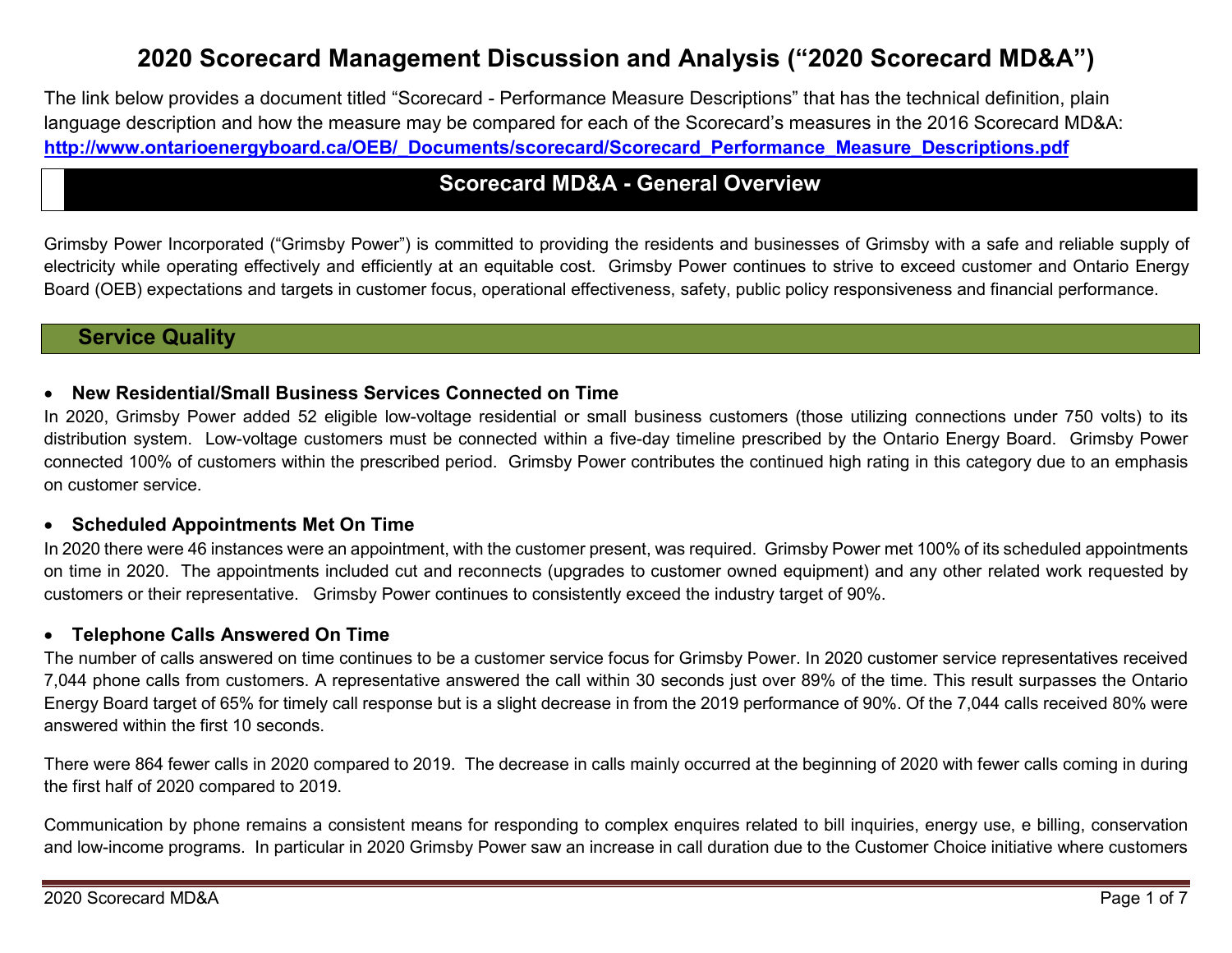# **2020 Scorecard Management Discussion and Analysis ("2020 Scorecard MD&A")**

The link below provides a document titled "Scorecard - Performance Measure Descriptions" that has the technical definition, plain language description and how the measure may be compared for each of the Scorecard's measures in the 2016 Scorecard MD&A: **[http://www.ontarioenergyboard.ca/OEB/\\_Documents/scorecard/Scorecard\\_Performance\\_Measure\\_Descriptions.pdf](http://www.ontarioenergyboard.ca/OEB/_Documents/scorecard/Scorecard_Performance_Measure_Descriptions.pdf)**

# **Scorecard MD&A - General Overview**

Grimsby Power Incorporated ("Grimsby Power") is committed to providing the residents and businesses of Grimsby with a safe and reliable supply of electricity while operating effectively and efficiently at an equitable cost. Grimsby Power continues to strive to exceed customer and Ontario Energy Board (OEB) expectations and targets in customer focus, operational effectiveness, safety, public policy responsiveness and financial performance.

# **Service Quality**

### • **New Residential/Small Business Services Connected on Time**

In 2020, Grimsby Power added 52 eligible low-voltage residential or small business customers (those utilizing connections under 750 volts) to its distribution system. Low-voltage customers must be connected within a five-day timeline prescribed by the Ontario Energy Board. Grimsby Power connected 100% of customers within the prescribed period. Grimsby Power contributes the continued high rating in this category due to an emphasis on customer service.

### • **Scheduled Appointments Met On Time**

In 2020 there were 46 instances were an appointment, with the customer present, was required. Grimsby Power met 100% of its scheduled appointments on time in 2020. The appointments included cut and reconnects (upgrades to customer owned equipment) and any other related work requested by customers or their representative. Grimsby Power continues to consistently exceed the industry target of 90%.

#### • **Telephone Calls Answered On Time**

The number of calls answered on time continues to be a customer service focus for Grimsby Power. In 2020 customer service representatives received 7,044 phone calls from customers. A representative answered the call within 30 seconds just over 89% of the time. This result surpasses the Ontario Energy Board target of 65% for timely call response but is a slight decrease in from the 2019 performance of 90%. Of the 7,044 calls received 80% were answered within the first 10 seconds.

There were 864 fewer calls in 2020 compared to 2019. The decrease in calls mainly occurred at the beginning of 2020 with fewer calls coming in during the first half of 2020 compared to 2019.

Communication by phone remains a consistent means for responding to complex enquires related to bill inquiries, energy use, e billing, conservation and low-income programs. In particular in 2020 Grimsby Power saw an increase in call duration due to the Customer Choice initiative where customers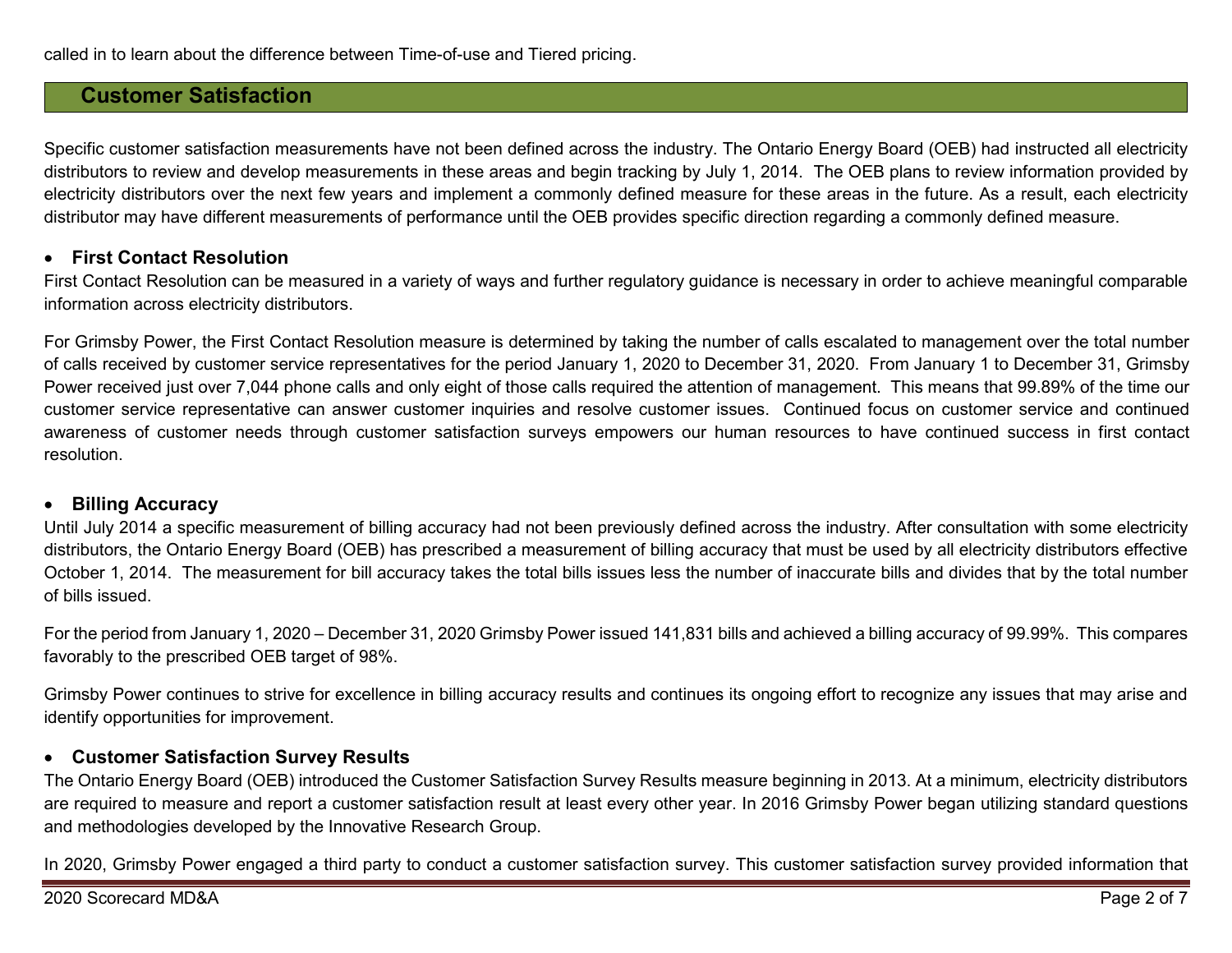# **Customer Satisfaction**

Specific customer satisfaction measurements have not been defined across the industry. The Ontario Energy Board (OEB) had instructed all electricity distributors to review and develop measurements in these areas and begin tracking by July 1, 2014. The OEB plans to review information provided by electricity distributors over the next few years and implement a commonly defined measure for these areas in the future. As a result, each electricity distributor may have different measurements of performance until the OEB provides specific direction regarding a commonly defined measure.

#### • **First Contact Resolution**

First Contact Resolution can be measured in a variety of ways and further regulatory guidance is necessary in order to achieve meaningful comparable information across electricity distributors.

For Grimsby Power, the First Contact Resolution measure is determined by taking the number of calls escalated to management over the total number of calls received by customer service representatives for the period January 1, 2020 to December 31, 2020. From January 1 to December 31, Grimsby Power received just over 7,044 phone calls and only eight of those calls required the attention of management. This means that 99.89% of the time our customer service representative can answer customer inquiries and resolve customer issues. Continued focus on customer service and continued awareness of customer needs through customer satisfaction surveys empowers our human resources to have continued success in first contact resolution.

#### • **Billing Accuracy**

Until July 2014 a specific measurement of billing accuracy had not been previously defined across the industry. After consultation with some electricity distributors, the Ontario Energy Board (OEB) has prescribed a measurement of billing accuracy that must be used by all electricity distributors effective October 1, 2014. The measurement for bill accuracy takes the total bills issues less the number of inaccurate bills and divides that by the total number of bills issued.

For the period from January 1, 2020 – December 31, 2020 Grimsby Power issued 141,831 bills and achieved a billing accuracy of 99.99%. This compares favorably to the prescribed OEB target of 98%.

Grimsby Power continues to strive for excellence in billing accuracy results and continues its ongoing effort to recognize any issues that may arise and identify opportunities for improvement.

#### • **Customer Satisfaction Survey Results**

The Ontario Energy Board (OEB) introduced the Customer Satisfaction Survey Results measure beginning in 2013. At a minimum, electricity distributors are required to measure and report a customer satisfaction result at least every other year. In 2016 Grimsby Power began utilizing standard questions and methodologies developed by the Innovative Research Group.

In 2020, Grimsby Power engaged a third party to conduct a customer satisfaction survey. This customer satisfaction survey provided information that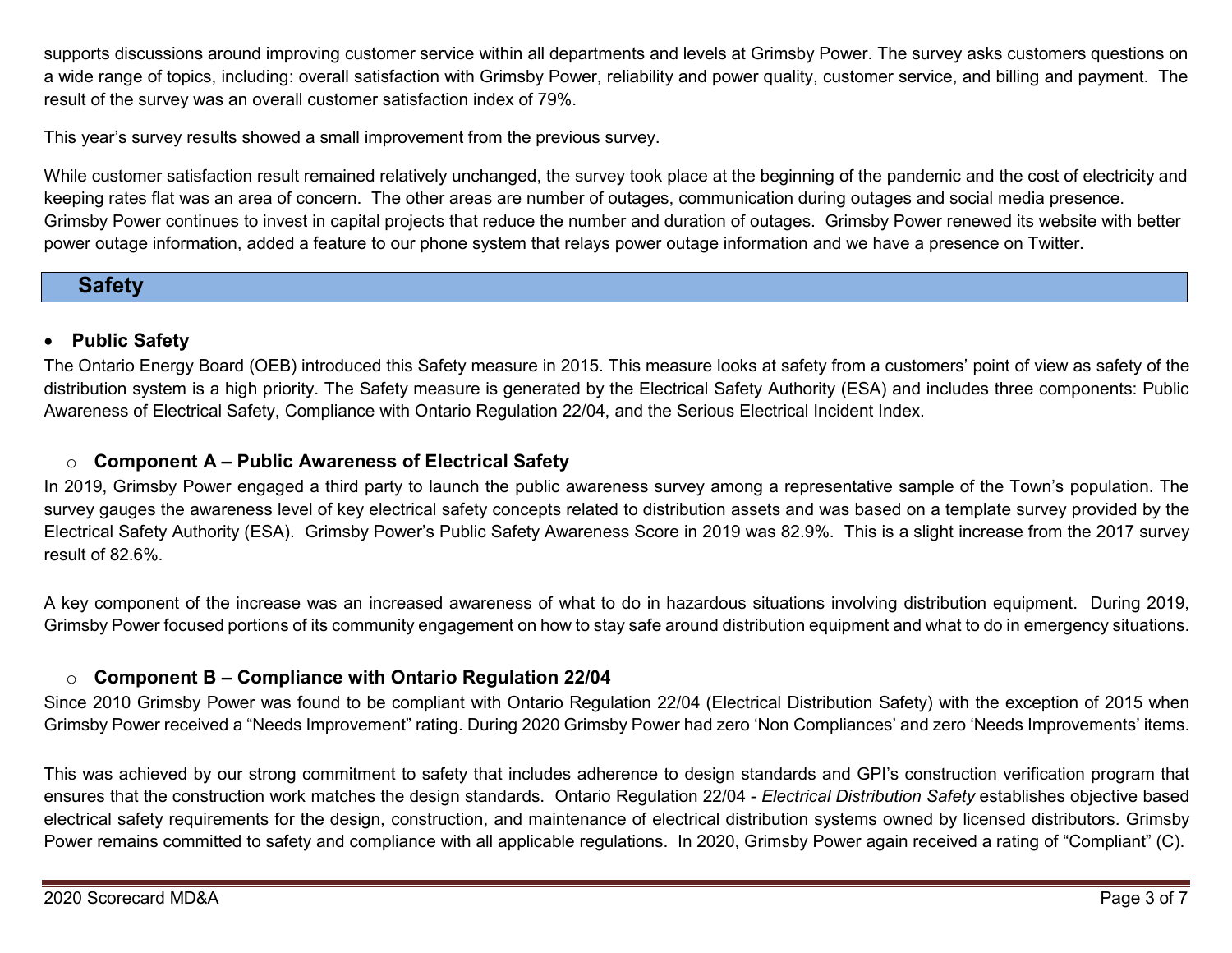supports discussions around improving customer service within all departments and levels at Grimsby Power. The survey asks customers questions on a wide range of topics, including: overall satisfaction with Grimsby Power, reliability and power quality, customer service, and billing and payment. The result of the survey was an overall customer satisfaction index of 79%.

This year's survey results showed a small improvement from the previous survey.

While customer satisfaction result remained relatively unchanged, the survey took place at the beginning of the pandemic and the cost of electricity and keeping rates flat was an area of concern. The other areas are number of outages, communication during outages and social media presence. Grimsby Power continues to invest in capital projects that reduce the number and duration of outages. Grimsby Power renewed its website with better power outage information, added a feature to our phone system that relays power outage information and we have a presence on Twitter.

# **Safety**

### • **Public Safety**

The Ontario Energy Board (OEB) introduced this Safety measure in 2015. This measure looks at safety from a customers' point of view as safety of the distribution system is a high priority. The Safety measure is generated by the Electrical Safety Authority (ESA) and includes three components: Public Awareness of Electrical Safety, Compliance with Ontario Regulation 22/04, and the Serious Electrical Incident Index.

### o **Component A – Public Awareness of Electrical Safety**

In 2019, Grimsby Power engaged a third party to launch the public awareness survey among a representative sample of the Town's population. The survey gauges the awareness level of key electrical safety concepts related to distribution assets and was based on a template survey provided by the Electrical Safety Authority (ESA).Grimsby Power's Public Safety Awareness Score in 2019 was 82.9%. This is a slight increase from the 2017 survey result of 82.6%.

A key component of the increase was an increased awareness of what to do in hazardous situations involving distribution equipment. During 2019, Grimsby Power focused portions of its community engagement on how to stay safe around distribution equipment and what to do in emergency situations.

### o **Component B – Compliance with Ontario Regulation 22/04**

Since 2010 Grimsby Power was found to be compliant with Ontario Regulation 22/04 (Electrical Distribution Safety) with the exception of 2015 when Grimsby Power received a "Needs Improvement" rating. During 2020 Grimsby Power had zero 'Non Compliances' and zero 'Needs Improvements' items.

This was achieved by our strong commitment to safety that includes adherence to design standards and GPI's construction verification program that ensures that the construction work matches the design standards. Ontario Regulation 22/04 - *Electrical Distribution Safety* establishes objective based electrical safety requirements for the design, construction, and maintenance of electrical distribution systems owned by licensed distributors. Grimsby Power remains committed to safety and compliance with all applicable regulations. In 2020, Grimsby Power again received a rating of "Compliant" (C).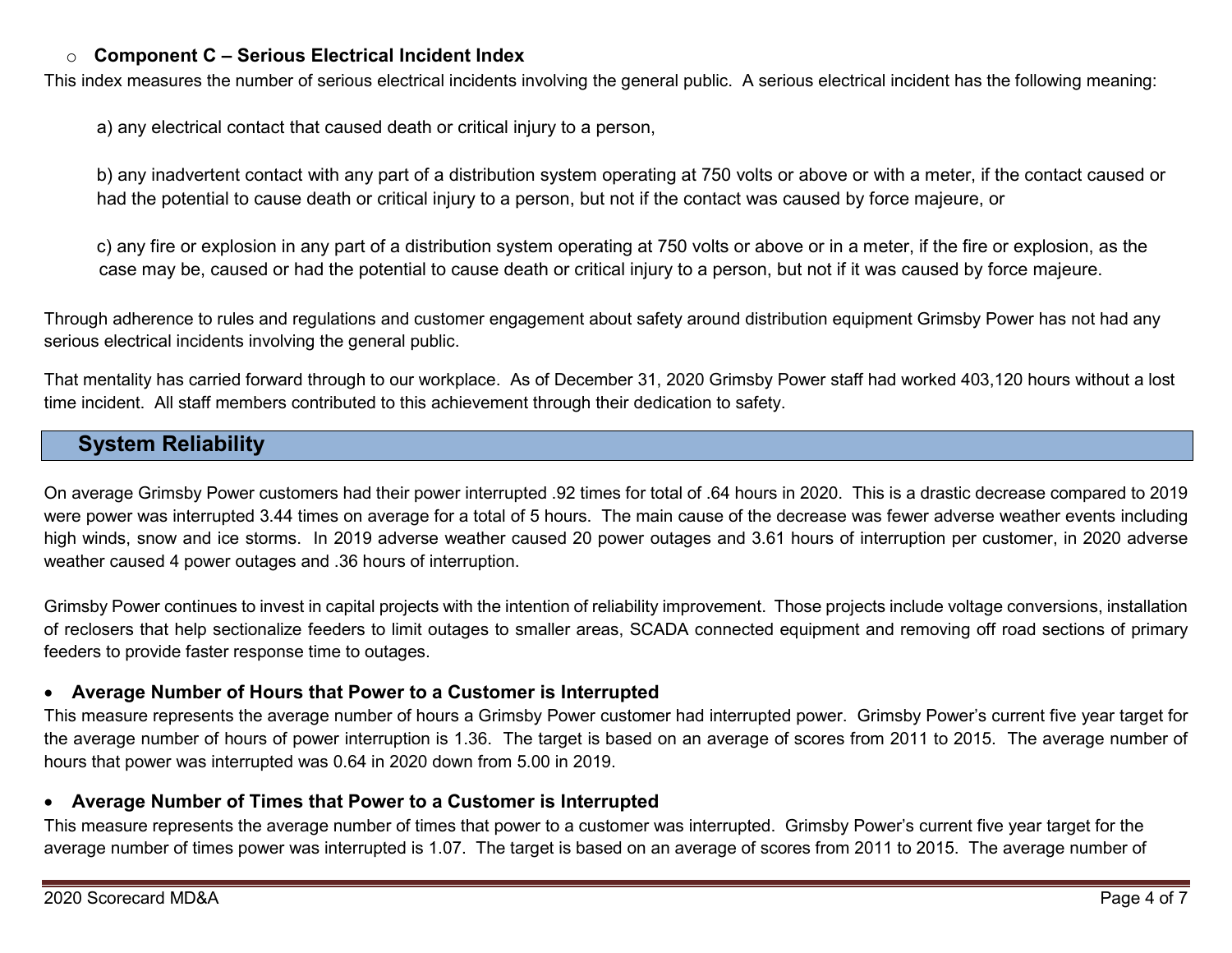### o **Component C – Serious Electrical Incident Index**

This index measures the number of serious electrical incidents involving the general public. A serious electrical incident has the following meaning:

a) any electrical contact that caused death or critical injury to a person,

b) any inadvertent contact with any part of a distribution system operating at 750 volts or above or with a meter, if the contact caused or had the potential to cause death or critical injury to a person, but not if the contact was caused by force majeure, or

c) any fire or explosion in any part of a distribution system operating at 750 volts or above or in a meter, if the fire or explosion, as the case may be, caused or had the potential to cause death or critical injury to a person, but not if it was caused by force majeure.

Through adherence to rules and regulations and customer engagement about safety around distribution equipment Grimsby Power has not had any serious electrical incidents involving the general public.

That mentality has carried forward through to our workplace. As of December 31, 2020 Grimsby Power staff had worked 403,120 hours without a lost time incident. All staff members contributed to this achievement through their dedication to safety.

# **System Reliability**

On average Grimsby Power customers had their power interrupted .92 times for total of .64 hours in 2020. This is a drastic decrease compared to 2019 were power was interrupted 3.44 times on average for a total of 5 hours. The main cause of the decrease was fewer adverse weather events including high winds, snow and ice storms. In 2019 adverse weather caused 20 power outages and 3.61 hours of interruption per customer, in 2020 adverse weather caused 4 power outages and .36 hours of interruption.

Grimsby Power continues to invest in capital projects with the intention of reliability improvement. Those projects include voltage conversions, installation of reclosers that help sectionalize feeders to limit outages to smaller areas, SCADA connected equipment and removing off road sections of primary feeders to provide faster response time to outages.

#### • **Average Number of Hours that Power to a Customer is Interrupted**

This measure represents the average number of hours a Grimsby Power customer had interrupted power. Grimsby Power's current five year target for the average number of hours of power interruption is 1.36. The target is based on an average of scores from 2011 to 2015. The average number of hours that power was interrupted was 0.64 in 2020 down from 5.00 in 2019.

#### • **Average Number of Times that Power to a Customer is Interrupted**

This measure represents the average number of times that power to a customer was interrupted. Grimsby Power's current five year target for the average number of times power was interrupted is 1.07. The target is based on an average of scores from 2011 to 2015. The average number of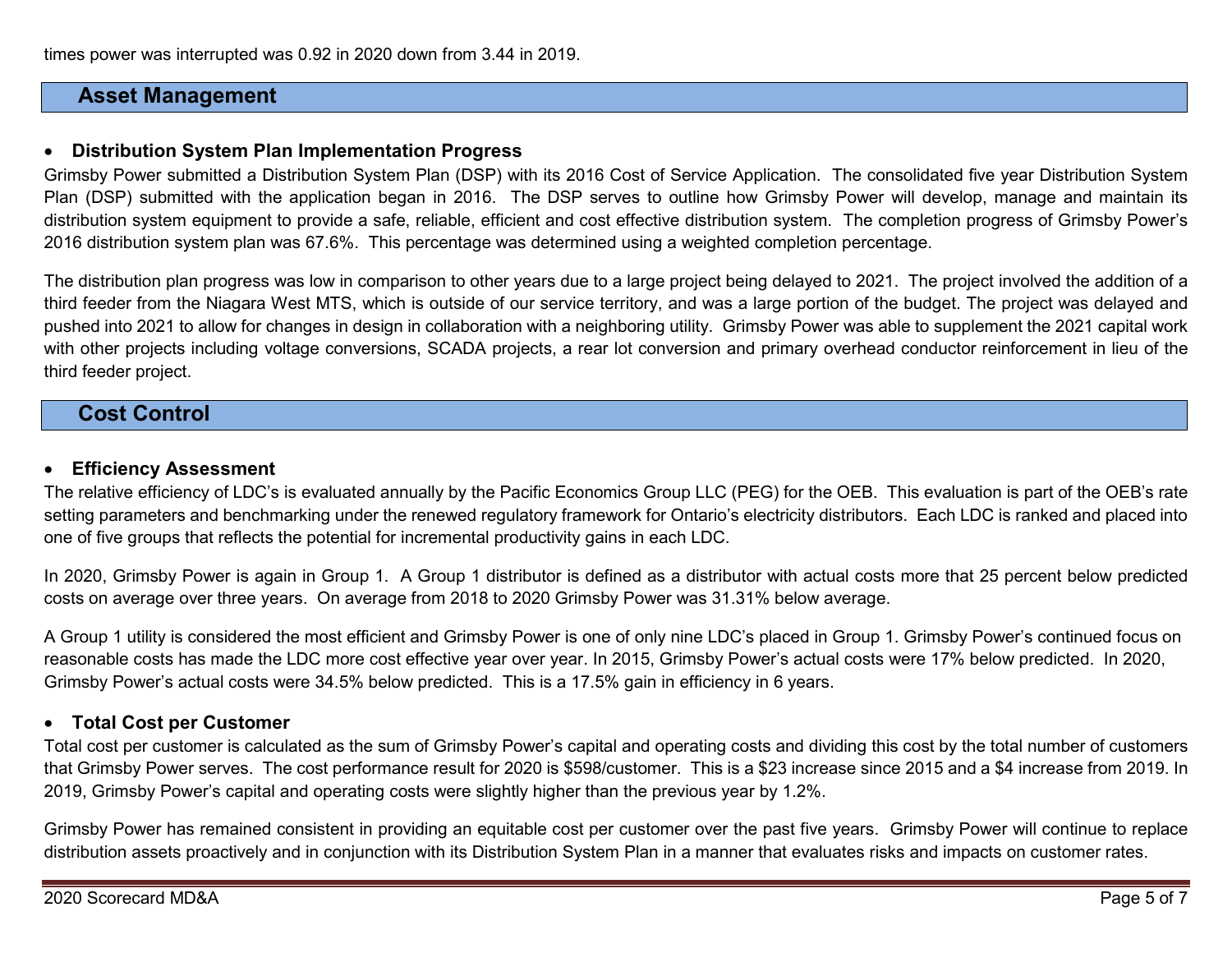times power was interrupted was 0.92 in 2020 down from 3.44 in 2019.

## **Asset Management**

#### • **Distribution System Plan Implementation Progress**

Grimsby Power submitted a Distribution System Plan (DSP) with its 2016 Cost of Service Application. The consolidated five year Distribution System Plan (DSP) submitted with the application began in 2016. The DSP serves to outline how Grimsby Power will develop, manage and maintain its distribution system equipment to provide a safe, reliable, efficient and cost effective distribution system. The completion progress of Grimsby Power's 2016 distribution system plan was 67.6%. This percentage was determined using a weighted completion percentage.

The distribution plan progress was low in comparison to other years due to a large project being delayed to 2021. The project involved the addition of a third feeder from the Niagara West MTS, which is outside of our service territory, and was a large portion of the budget. The project was delayed and pushed into 2021 to allow for changes in design in collaboration with a neighboring utility. Grimsby Power was able to supplement the 2021 capital work with other projects including voltage conversions, SCADA projects, a rear lot conversion and primary overhead conductor reinforcement in lieu of the third feeder project.

# **Cost Control**

### • **Efficiency Assessment**

The relative efficiency of LDC's is evaluated annually by the Pacific Economics Group LLC (PEG) for the OEB. This evaluation is part of the OEB's rate setting parameters and benchmarking under the renewed regulatory framework for Ontario's electricity distributors. Each LDC is ranked and placed into one of five groups that reflects the potential for incremental productivity gains in each LDC.

In 2020, Grimsby Power is again in Group 1. A Group 1 distributor is defined as a distributor with actual costs more that 25 percent below predicted costs on average over three years. On average from 2018 to 2020 Grimsby Power was 31.31% below average.

A Group 1 utility is considered the most efficient and Grimsby Power is one of only nine LDC's placed in Group 1. Grimsby Power's continued focus on reasonable costs has made the LDC more cost effective year over year. In 2015, Grimsby Power's actual costs were 17% below predicted. In 2020, Grimsby Power's actual costs were 34.5% below predicted. This is a 17.5% gain in efficiency in 6 years.

#### • **Total Cost per Customer**

Total cost per customer is calculated as the sum of Grimsby Power's capital and operating costs and dividing this cost by the total number of customers that Grimsby Power serves. The cost performance result for 2020 is \$598/customer. This is a \$23 increase since 2015 and a \$4 increase from 2019. In 2019, Grimsby Power's capital and operating costs were slightly higher than the previous year by 1.2%.

Grimsby Power has remained consistent in providing an equitable cost per customer over the past five years. Grimsby Power will continue to replace distribution assets proactively and in conjunction with its Distribution System Plan in a manner that evaluates risks and impacts on customer rates.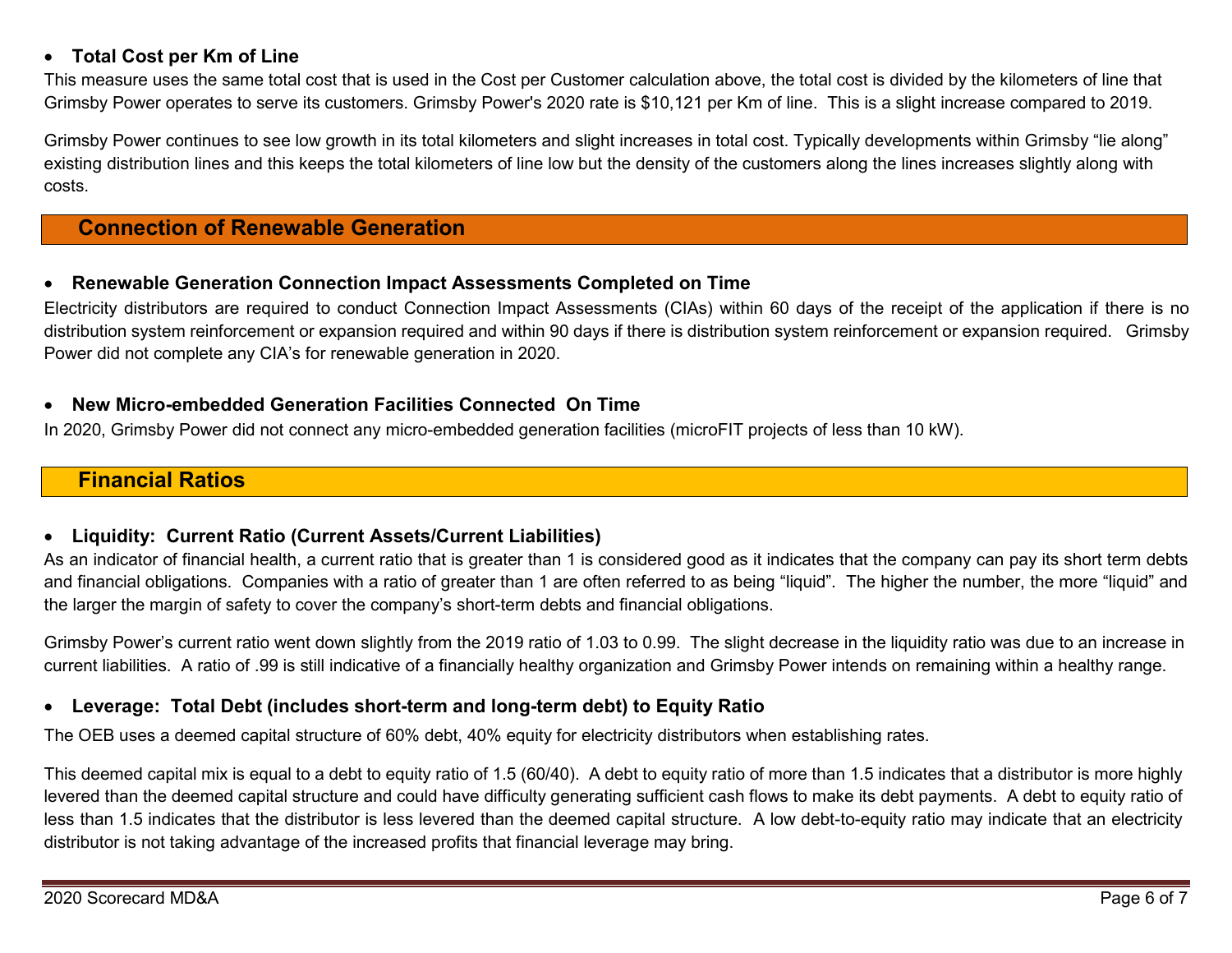### • **Total Cost per Km of Line**

This measure uses the same total cost that is used in the Cost per Customer calculation above, the total cost is divided by the kilometers of line that Grimsby Power operates to serve its customers. Grimsby Power's 2020 rate is \$10,121 per Km of line. This is a slight increase compared to 2019.

Grimsby Power continues to see low growth in its total kilometers and slight increases in total cost. Typically developments within Grimsby "lie along" existing distribution lines and this keeps the total kilometers of line low but the density of the customers along the lines increases slightly along with costs.

# **Connection of Renewable Generation**

### • **Renewable Generation Connection Impact Assessments Completed on Time**

Electricity distributors are required to conduct Connection Impact Assessments (CIAs) within 60 days of the receipt of the application if there is no distribution system reinforcement or expansion required and within 90 days if there is distribution system reinforcement or expansion required. Grimsby Power did not complete any CIA's for renewable generation in 2020.

#### • **New Micro-embedded Generation Facilities Connected On Time**

In 2020, Grimsby Power did not connect any micro-embedded generation facilities (microFIT projects of less than 10 kW).

# **Financial Ratios**

### • **Liquidity: Current Ratio (Current Assets/Current Liabilities)**

As an indicator of financial health, a current ratio that is greater than 1 is considered good as it indicates that the company can pay its short term debts and financial obligations. Companies with a ratio of greater than 1 are often referred to as being "liquid". The higher the number, the more "liquid" and the larger the margin of safety to cover the company's short-term debts and financial obligations.

Grimsby Power's current ratio went down slightly from the 2019 ratio of 1.03 to 0.99. The slight decrease in the liquidity ratio was due to an increase in current liabilities. A ratio of .99 is still indicative of a financially healthy organization and Grimsby Power intends on remaining within a healthy range.

### • **Leverage: Total Debt (includes short-term and long-term debt) to Equity Ratio**

The OEB uses a deemed capital structure of 60% debt, 40% equity for electricity distributors when establishing rates.

This deemed capital mix is equal to a debt to equity ratio of 1.5 (60/40). A debt to equity ratio of more than 1.5 indicates that a distributor is more highly levered than the deemed capital structure and could have difficulty generating sufficient cash flows to make its debt payments. A debt to equity ratio of less than 1.5 indicates that the distributor is less levered than the deemed capital structure. A low debt-to-equity ratio may indicate that an electricity distributor is not taking advantage of the increased profits that financial leverage may bring.